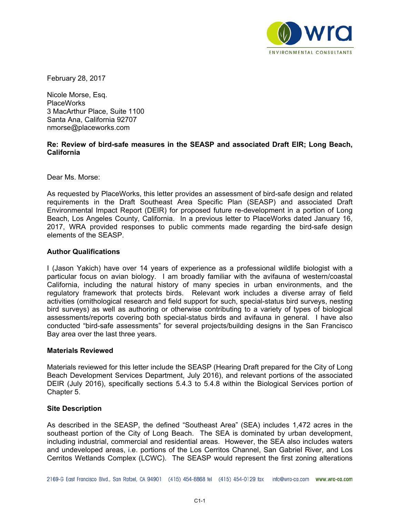

February 28, 2017

Nicole Morse, Esq. PlaceWorks 3 MacArthur Place, Suite 1100 Santa Ana, California 92707 nmorse@placeworks.com

## **Re: Review of bird-safe measures in the SEASP and associated Draft EIR; Long Beach, California**

Dear Ms. Morse:

As requested by PlaceWorks, this letter provides an assessment of bird-safe design and related requirements in the Draft Southeast Area Specific Plan (SEASP) and associated Draft Environmental Impact Report (DEIR) for proposed future re-development in a portion of Long Beach, Los Angeles County, California. In a previous letter to PlaceWorks dated January 16, 2017, WRA provided responses to public comments made regarding the bird-safe design elements of the SEASP.

## **Author Qualifications**

I (Jason Yakich) have over 14 years of experience as a professional wildlife biologist with a particular focus on avian biology. I am broadly familiar with the avifauna of western/coastal California, including the natural history of many species in urban environments, and the regulatory framework that protects birds. Relevant work includes a diverse array of field activities (ornithological research and field support for such, special-status bird surveys, nesting bird surveys) as well as authoring or otherwise contributing to a variety of types of biological assessments/reports covering both special-status birds and avifauna in general. I have also conducted "bird-safe assessments" for several projects/building designs in the San Francisco Bay area over the last three years.

## **Materials Reviewed**

Materials reviewed for this letter include the SEASP (Hearing Draft prepared for the City of Long Beach Development Services Department, July 2016), and relevant portions of the associated DEIR (July 2016), specifically sections 5.4.3 to 5.4.8 within the Biological Services portion of Chapter 5.

## **Site Description**

As described in the SEASP, the defined "Southeast Area" (SEA) includes 1,472 acres in the southeast portion of the City of Long Beach. The SEA is dominated by urban development, including industrial, commercial and residential areas. However, the SEA also includes waters and undeveloped areas, i.e. portions of the Los Cerritos Channel, San Gabriel River, and Los Cerritos Wetlands Complex (LCWC). The SEASP would represent the first zoning alterations

2169-G East Francisco Blvd., San Rafael, CA 94901 (415) 454-8868 tel (415) 454-0129 fax info@wra-ca.com www.wra-ca.com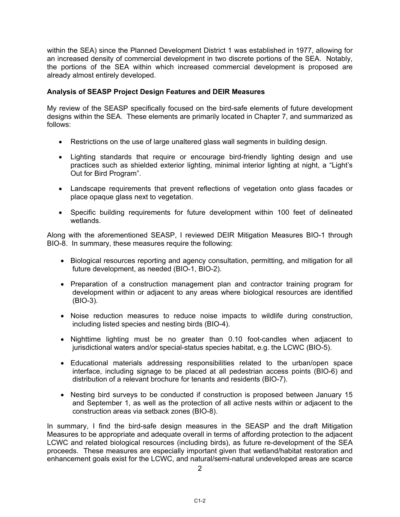within the SEA) since the Planned Development District 1 was established in 1977, allowing for an increased density of commercial development in two discrete portions of the SEA. Notably, the portions of the SEA within which increased commercial development is proposed are already almost entirely developed.

# **Analysis of SEASP Project Design Features and DEIR Measures**

My review of the SEASP specifically focused on the bird-safe elements of future development designs within the SEA. These elements are primarily located in Chapter 7, and summarized as follows:

- Restrictions on the use of large unaltered glass wall segments in building design.
- Lighting standards that require or encourage bird-friendly lighting design and use practices such as shielded exterior lighting, minimal interior lighting at night, a "Light's Out for Bird Program".
- Landscape requirements that prevent reflections of vegetation onto glass facades or place opaque glass next to vegetation.
- Specific building requirements for future development within 100 feet of delineated wetlands.

Along with the aforementioned SEASP, I reviewed DEIR Mitigation Measures BIO-1 through BIO-8. In summary, these measures require the following:

- Biological resources reporting and agency consultation, permitting, and mitigation for all future development, as needed (BIO-1, BIO-2).
- Preparation of a construction management plan and contractor training program for development within or adjacent to any areas where biological resources are identified (BIO-3).
- Noise reduction measures to reduce noise impacts to wildlife during construction, including listed species and nesting birds (BIO-4).
- Nighttime lighting must be no greater than 0.10 foot-candles when adjacent to jurisdictional waters and/or special-status species habitat, e.g. the LCWC (BIO-5).
- Educational materials addressing responsibilities related to the urban/open space interface, including signage to be placed at all pedestrian access points (BIO-6) and distribution of a relevant brochure for tenants and residents (BIO-7).
- Nesting bird surveys to be conducted if construction is proposed between January 15 and September 1, as well as the protection of all active nests within or adjacent to the construction areas via setback zones (BIO-8).

In summary, I find the bird-safe design measures in the SEASP and the draft Mitigation Measures to be appropriate and adequate overall in terms of affording protection to the adjacent LCWC and related biological resources (including birds), as future re-development of the SEA proceeds. These measures are especially important given that wetland/habitat restoration and enhancement goals exist for the LCWC, and natural/semi-natural undeveloped areas are scarce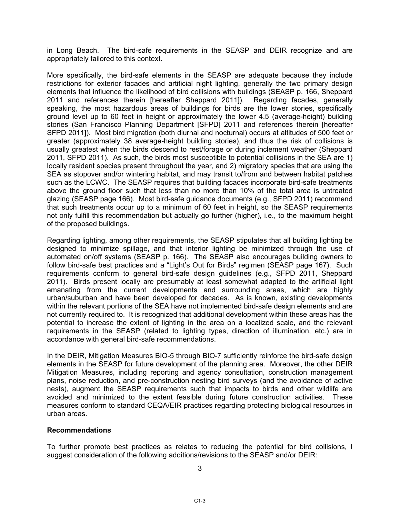in Long Beach. The bird-safe requirements in the SEASP and DEIR recognize and are appropriately tailored to this context.

More specifically, the bird-safe elements in the SEASP are adequate because they include restrictions for exterior facades and artificial night lighting, generally the two primary design elements that influence the likelihood of bird collisions with buildings (SEASP p. 166, Sheppard 2011 and references therein [hereafter Sheppard 2011]). Regarding facades, generally speaking, the most hazardous areas of buildings for birds are the lower stories, specifically ground level up to 60 feet in height or approximately the lower 4.5 (average-height) building stories (San Francisco Planning Department [SFPD] 2011 and references therein [hereafter SFPD 2011]). Most bird migration (both diurnal and nocturnal) occurs at altitudes of 500 feet or greater (approximately 38 average-height building stories), and thus the risk of collisions is usually greatest when the birds descend to rest/forage or during inclement weather (Sheppard 2011, SFPD 2011). As such, the birds most susceptible to potential collisions in the SEA are 1) locally resident species present throughout the year, and 2) migratory species that are using the SEA as stopover and/or wintering habitat, and may transit to/from and between habitat patches such as the LCWC. The SEASP requires that building facades incorporate bird-safe treatments above the ground floor such that less than no more than 10% of the total area is untreated glazing (SEASP page 166). Most bird-safe guidance documents (e.g., SFPD 2011) recommend that such treatments occur up to a minimum of 60 feet in height, so the SEASP requirements not only fulfill this recommendation but actually go further (higher), i.e., to the maximum height of the proposed buildings.

Regarding lighting, among other requirements, the SEASP stipulates that all building lighting be designed to minimize spillage, and that interior lighting be minimized through the use of automated on/off systems (SEASP p. 166). The SEASP also encourages building owners to follow bird-safe best practices and a "Light's Out for Birds" regimen (SEASP page 167). Such requirements conform to general bird-safe design guidelines (e.g., SFPD 2011, Sheppard 2011). Birds present locally are presumably at least somewhat adapted to the artificial light emanating from the current developments and surrounding areas, which are highly urban/suburban and have been developed for decades. As is known, existing developments within the relevant portions of the SEA have not implemented bird-safe design elements and are not currently required to. It is recognized that additional development within these areas has the potential to increase the extent of lighting in the area on a localized scale, and the relevant requirements in the SEASP (related to lighting types, direction of illumination, etc.) are in accordance with general bird-safe recommendations.

In the DEIR, Mitigation Measures BIO-5 through BIO-7 sufficiently reinforce the bird-safe design elements in the SEASP for future development of the planning area. Moreover, the other DEIR Mitigation Measures, including reporting and agency consultation, construction management plans, noise reduction, and pre-construction nesting bird surveys (and the avoidance of active nests), augment the SEASP requirements such that impacts to birds and other wildlife are avoided and minimized to the extent feasible during future construction activities. These measures conform to standard CEQA/EIR practices regarding protecting biological resources in urban areas.

## **Recommendations**

To further promote best practices as relates to reducing the potential for bird collisions, I suggest consideration of the following additions/revisions to the SEASP and/or DEIR: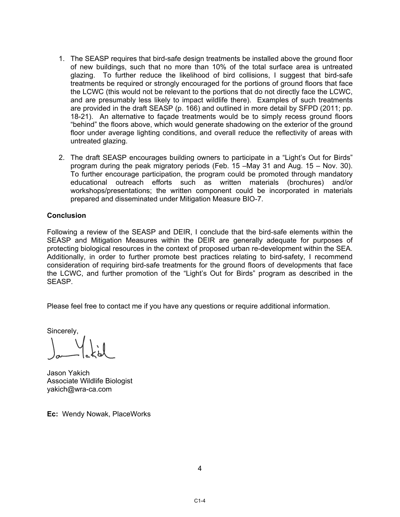- 1. The SEASP requires that bird-safe design treatments be installed above the ground floor of new buildings, such that no more than 10% of the total surface area is untreated glazing. To further reduce the likelihood of bird collisions, I suggest that bird-safe treatments be required or strongly encouraged for the portions of ground floors that face the LCWC (this would not be relevant to the portions that do not directly face the LCWC, and are presumably less likely to impact wildlife there). Examples of such treatments are provided in the draft SEASP (p. 166) and outlined in more detail by SFPD (2011; pp. 18-21). An alternative to façade treatments would be to simply recess ground floors "behind" the floors above, which would generate shadowing on the exterior of the ground floor under average lighting conditions, and overall reduce the reflectivity of areas with untreated glazing.
- 2. The draft SEASP encourages building owners to participate in a "Light's Out for Birds" program during the peak migratory periods (Feb. 15 –May 31 and Aug. 15 – Nov. 30). To further encourage participation, the program could be promoted through mandatory educational outreach efforts such as written materials (brochures) and/or workshops/presentations; the written component could be incorporated in materials prepared and disseminated under Mitigation Measure BIO-7.

## **Conclusion**

Following a review of the SEASP and DEIR, I conclude that the bird-safe elements within the SEASP and Mitigation Measures within the DEIR are generally adequate for purposes of protecting biological resources in the context of proposed urban re-development within the SEA. Additionally, in order to further promote best practices relating to bird-safety, I recommend consideration of requiring bird-safe treatments for the ground floors of developments that face the LCWC, and further promotion of the "Light's Out for Birds" program as described in the SEASP.

Please feel free to contact me if you have any questions or require additional information.

Sincerely,

Jason Yakich Associate Wildlife Biologist yakich@wra-ca.com

**Ec:** Wendy Nowak, PlaceWorks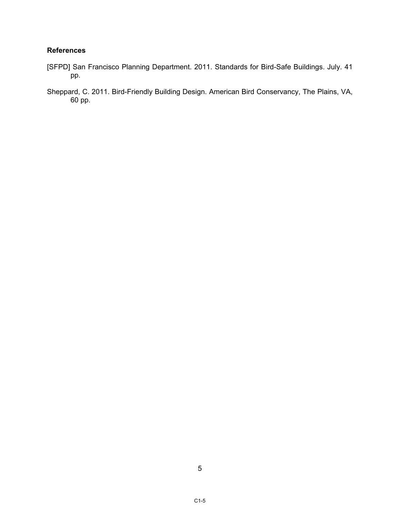## **References**

- [SFPD] San Francisco Planning Department. 2011. Standards for Bird-Safe Buildings. July. 41 pp.
- Sheppard, C. 2011. Bird-Friendly Building Design. American Bird Conservancy, The Plains, VA,  $60$  pp.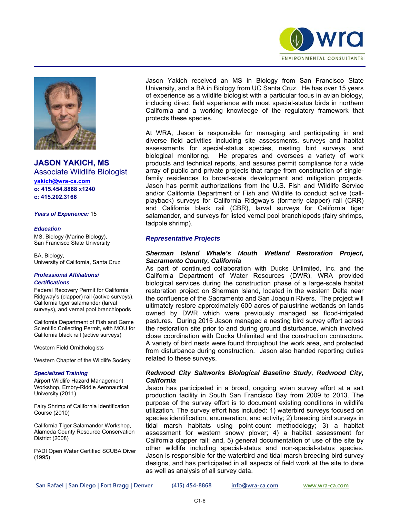



**JASON YAKICH, MS**  Associate Wildlife Biologist **yakich@wra-ca.com o: 415.454.8868 x1240 c: 415.202.3166** 

*Years of Experience:* 15

#### *Education*

MS, Biology (Marine Biology), San Francisco State University

BA, Biology, University of California, Santa Cruz

#### *Professional Affiliations/ Certifications*

Federal Recovery Permit for California Ridgway's (clapper) rail (active surveys), California tiger salamander (larval surveys), and vernal pool branchiopods

California Department of Fish and Game Scientific Collecting Permit, with MOU for California black rail (active surveys)

Western Field Ornithologists

Western Chapter of the Wildlife Society

#### *Specialized Training*

Airport Wildlife Hazard Management Workshop, Embry-Riddle Aeronautical University (2011)

Fairy Shrimp of California Identification Course (2010)

California Tiger Salamander Workshop, Alameda County Resource Conservation District (2008)

PADI Open Water Certified SCUBA Diver (1995)

Jason Yakich received an MS in Biology from San Francisco State University, and a BA in Biology from UC Santa Cruz. He has over 15 years of experience as a wildlife biologist with a particular focus in avian biology, including direct field experience with most special-status birds in northern California and a working knowledge of the regulatory framework that protects these species.

At WRA, Jason is responsible for managing and participating in and diverse field activities including site assessments, surveys and habitat assessments for special-status species, nesting bird surveys, and biological monitoring. He prepares and oversees a variety of work products and technical reports, and assures permit compliance for a wide array of public and private projects that range from construction of singlefamily residences to broad-scale development and mitigation projects. Jason has permit authorizations from the U.S. Fish and Wildlife Service and/or California Department of Fish and Wildlife to conduct active (callplayback) surveys for California Ridgway's (formerly clapper) rail (CRR) and California black rail (CBR), larval surveys for California tiger salamander, and surveys for listed vernal pool branchiopods (fairy shrimps, tadpole shrimp).

#### *Representative Projects*

### *Sherman Island Whale's Mouth Wetland Restoration Project, Sacramento County, California*

As part of continued collaboration with Ducks Unlimited, Inc. and the California Department of Water Resources (DWR), WRA provided biological services during the construction phase of a large-scale habitat restoration project on Sherman Island, located in the western Delta near the confluence of the Sacramento and San Joaquin Rivers. The project will ultimately restore approximately 600 acres of palustrine wetlands on lands owned by DWR which were previously managed as flood-irrigated pastures. During 2015 Jason managed a nesting bird survey effort across the restoration site prior to and during ground disturbance, which involved close coordination with Ducks Unlimited and the construction contractors. A variety of bird nests were found throughout the work area, and protected from disturbance during construction. Jason also handed reporting duties related to these surveys.

### *Redwood City Saltworks Biological Baseline Study, Redwood City, California*

Jason has participated in a broad, ongoing avian survey effort at a salt production facility in South San Francisco Bay from 2009 to 2013. The purpose of the survey effort is to document existing conditions in wildlife utilization. The survey effort has included: 1) waterbird surveys focused on species identification, enumeration, and activity; 2) breeding bird surveys in tidal marsh habitats using point-count methodology; 3) a habitat assessment for western snowy plover; 4) a habitat assessment for California clapper rail; and, 5) general documentation of use of the site by other wildlife including special-status and non-special-status species. Jason is responsible for the waterbird and tidal marsh breeding bird survey designs, and has participated in all aspects of field work at the site to date as well as analysis of all survey data.